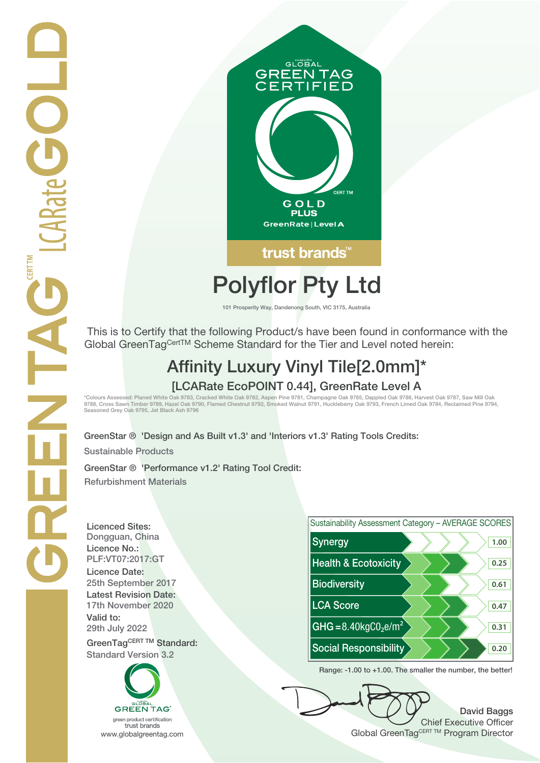

# **Polyflor Pty Ltd**

**101 Prosperity Way, Dandenong South, VIC 3175, Australia**

 This is to Certify that the following Product/s have been found in conformance with the Global GreenTagCertTM Scheme Standard for the Tier and Level noted herein:

## **Affinity Luxury Vinyl Tile[2.0mm]\* [LCARate EcoPOINT 0.44], GreenRate Level A**

\*Colours Assessed: Planed White Oak 9783, Cracked White Oak 9782, Aspen Pine 9781, Champagne Oak 9785, Dappled Oak 9786, Harvest Oak 9787, Saw Mill Oak<br>9788, Cross Sawn Timber 9789, Hazel Oak 9790, Flamed Chestnut 9792, Sm **Seasoned Grey Oak 9795, Jet Black Ash 9796**

**GreenStar ® 'Design and As Built v1.3' and 'Interiors v1.3' Rating Tools Credits:**

**Sustainable Products**

**GreenStar ® 'Performance v1.2' Rating Tool Credit:**

**Refurbishment Materials**

**Licenced Sites: Licence No.: Licence Date: Latest Revision Date: Valid to:**

**Standard Version 3.2**





**Range: -1.00 to +1.00. The smaller the number, the better!**

**David Baggs** Chief Executive Officer WWW.globalgreentag.com **Program Director** Clobal GreenTagCERT TM Program Director